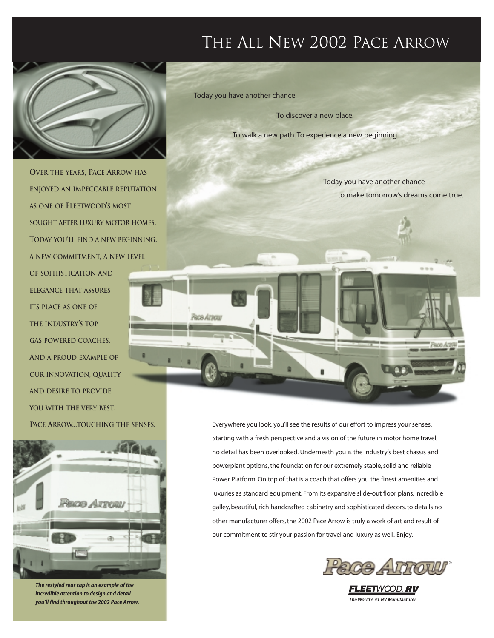## THE ALL NEW 2002 PACE ARROW



**OVER THE YEARS, PACE ARROW HAS ENJOYED AN IMPECCABLE REPUTATION AS ONE OF FLEETWOOD'S MOST SOUGHT AFTER LUXURY MOTOR HOMES. TODAY YOU'LL FIND A NEW BEGINNING, A NEW COMMITMENT, A NEW LEVEL OF SOPHISTICATION AND ELEGANCE THAT ASSURES ITS PLACE AS ONE OF THE INDUSTRY'S TOP GAS POWERED COACHES. AND A PROUD EXAMPLE OF OUR INNOVATION, QUALITY AND DESIRE TO PROVIDE YOU WITH THE VERY BEST. PACE ARROW...TOUCHING THE SENSES.** 



*The restyled rear cap is an example of the incredible attention to design and detail you'll find throughout the 2002 Pace Arrow.* **The World's #1 RV Manufacturer**

Today you have another chance.

To discover a new place.

To walk a new path. To experience a new beginning.

Today you have another chance to make tomorrow's dreams come true.



Everywhere you look, you'll see the results of our effort to impress your senses. Starting with a fresh perspective and a vision of the future in motor home travel, no detail has been overlooked. Underneath you is the industry's best chassis and powerplant options, the foundation for our extremely stable, solid and reliable Power Platform. On top of that is a coach that offers you the finest amenities and luxuries as standard equipment. From its expansive slide-out floor plans, incredible galley, beautiful, rich handcrafted cabinetry and sophisticated decors, to details no other manufacturer offers, the 2002 Pace Arrow is truly a work of art and result of our commitment to stir your passion for travel and luxury as well. Enjoy.



FLEETWOOD, RV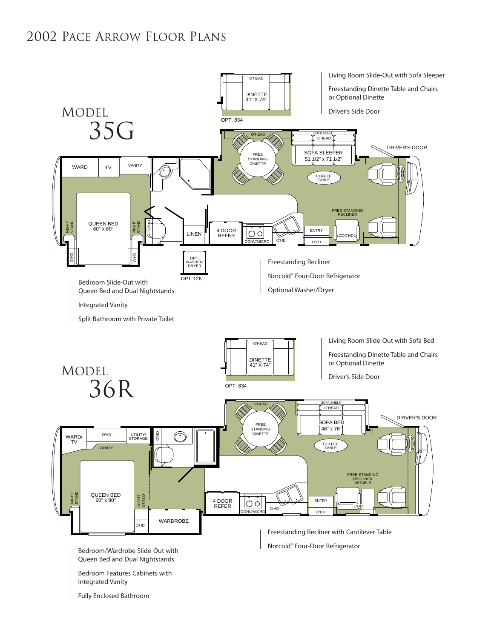### 2002 PACE ARROW FLOOR PLANS

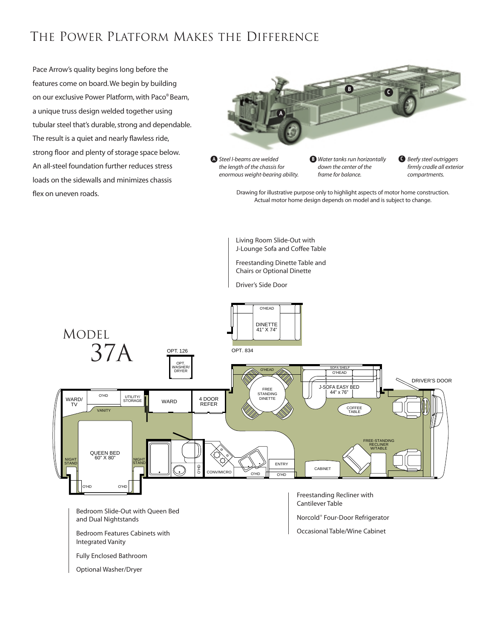### THE POWER PLATFORM MAKES THE DIFFERENCE

Pace Arrow's quality begins long before the features come on board.We begin by building on our exclusive Power Platform, with Paco® Beam, a unique truss design welded together using tubular steel that's durable, strong and dependable. The result is a quiet and nearly flawless ride, strong floor and plenty of storage space below. An all-steel foundation further reduces stress loads on the sidewalls and minimizes chassis flex on uneven roads.



*enormous weight-bearing ability.*

*down the center of the frame for balance.*

*firmly cradle all exterior compartments.*

Drawing for illustrative purpose only to highlight aspects of motor home construction. Actual motor home design depends on model and is subject to change.

Living Room Slide-Out with J-Lounge Sofa and Coffee Table

Freestanding Dinette Table and Chairs or Optional Dinette

Driver's Side Door

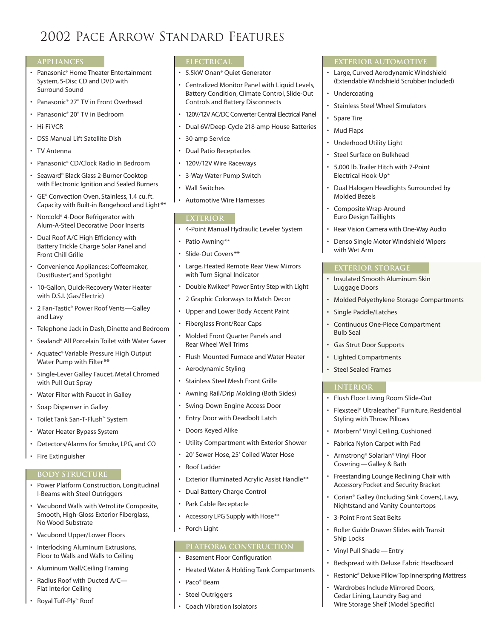### 2002 PACE ARROW STANDARD FEATURES

### **APPLIANCES**

- Panasonic® Home Theater Entertainment System, 5-Disc CD and DVD with Surround Sound
- Panasonic® 27" TV in Front Overhead
- Panasonic® 20" TV in Bedroom
- Hi-Fi VCR
- DSS Manual Lift Satellite Dish
- TV Antenna
- Panasonic® CD/Clock Radio in Bedroom
- Seaward® Black Glass 2-Burner Cooktop with Electronic Ignition and Sealed Burners
- GE® Convection Oven, Stainless, 1.4 cu. ft. Capacity with Built-in Rangehood and Light\*\*
- Norcold® 4-Door Refrigerator with Alum-A-Steel Decorative Door Inserts
- Dual Roof A/C High Efficiency with Battery Trickle Charge Solar Panel and Front Chill Grille
- Convenience Appliances: Coffeemaker, DustBuster®, and Spotlight
- 10-Gallon, Quick-Recovery Water Heater with D.S.I. (Gas/Electric)
- 2 Fan-Tastic® Power Roof Vents—Galley and Lavy
- Telephone Jack in Dash, Dinette and Bedroom
- Sealand® All Porcelain Toilet with Water Saver
- Aquatec® Variable Pressure High Output Water Pump with Filter\*\*
- Single-Lever Galley Faucet, Metal Chromed with Pull Out Spray
- Water Filter with Faucet in Galley
- Soap Dispenser in Galley
- Toilet Tank San-T-Flush™ System
- Water Heater Bypass System
- Detectors/Alarms for Smoke, LPG, and CO
- Fire Extinguisher

### **BODY STRUCTURE**

- Power Platform Construction, Longitudinal I-Beams with Steel Outriggers
- Vacubond Walls with VetroLite Composite, Smooth, High-Gloss Exterior Fiberglass, No Wood Substrate
- Vacubond Upper/Lower Floors
- Interlocking Aluminum Extrusions, Floor to Walls and Walls to Ceiling
- Aluminum Wall/Ceiling Framing
- Radius Roof with Ducted A/C— Flat Interior Ceiling
- Royal Tuff-Ply™ Roof

### **ELECTRICAL**

- 5.5kW Onan® Quiet Generator
- Centralized Monitor Panel with Liquid Levels, Battery Condition, Climate Control, Slide-Out Controls and Battery Disconnects
- 120V/12V AC/DC Converter Central Electrical Panel
- Dual 6V/Deep-Cycle 218-amp House Batteries
- 30-amp Service
- Dual Patio Receptacles
- 120V/12V Wire Raceways
- 3-Way Water Pump Switch
- Wall Switches
- Automotive Wire Harnesses

#### **EXTERIOR**

- 4-Point Manual Hydraulic Leveler System
- Patio Awning\*\*
- Slide-Out Covers\*\*
- Large, Heated Remote Rear View Mirrors with Turn Signal Indicator
- Double Kwikee® Power Entry Step with Light
- 2 Graphic Colorways to Match Decor
- Upper and Lower Body Accent Paint
- Fiberglass Front/Rear Caps
- Molded Front Quarter Panels and Rear Wheel Well Trims
- Flush Mounted Furnace and Water Heater
- Aerodynamic Styling
- Stainless Steel Mesh Front Grille
- Awning Rail/Drip Molding (Both Sides)
- Swing-Down Engine Access Door
- Entry Door with Deadbolt Latch
- Doors Keyed Alike
- Utility Compartment with Exterior Shower
- 20' Sewer Hose, 25' Coiled Water Hose
- Roof Ladder
- Exterior Illuminated Acrylic Assist Handle\*\*
- Dual Battery Charge Control
- Park Cable Receptacle
- Accessory LPG Supply with Hose\*\*
- Porch Light

### **PLATFORM CONSTRUCTION**

- Basement Floor Configuration
- Heated Water & Holding Tank Compartments
- Paco® Beam
- **Steel Outriggers**
- Coach Vibration Isolators

### **EXTERIOR AUTOMOTIVE**

- Large, Curved Aerodynamic Windshield (Extendable Windshield Scrubber Included)
- **Undercoating**
- Stainless Steel Wheel Simulators
- Spare Tire
- Mud Flaps
- Underhood Utility Light
- Steel Surface on Bulkhead
- 5,000 lb. Trailer Hitch with 7-Point Electrical Hook-Up\*
- Dual Halogen Headlights Surrounded by Molded Bezels
- Composite Wrap-Around Euro Design Taillights
- Rear Vision Camera with One-Way Audio
- Denso Single Motor Windshield Wipers with Wet Arm

### **EXTERIOR STORAGE**

- Insulated Smooth Aluminum Skin Luggage Doors
- Molded Polyethylene Storage Compartments
- Single Paddle/Latches
- Continuous One-Piece Compartment Bulb Seal
- Gas Strut Door Supports
- Lighted Compartments
- Steel Sealed Frames

### **INTERIOR**

• Flush Floor Living Room Slide-Out

• Morbern® Vinyl Ceiling, Cushioned Fabrica Nylon Carpet with Pad • Armstrong® Solarian® Vinyl Floor Covering—Galley & Bath

• 3-Point Front Seat Belts

• Vinyl Pull Shade —Entry

Ship Locks

• Flexsteel® Ultraleather™ Furniture, Residential Styling with Throw Pillows

• Freestanding Lounge Reclining Chair with Accessory Pocket and Security Bracket • Corian® Galley (Including Sink Covers), Lavy, Nightstand and Vanity Countertops

• Roller Guide Drawer Slides with Transit

• Bedspread with Deluxe Fabric Headboard • Restonic® Deluxe Pillow Top Innerspring Mattress

• Wardrobes Include Mirrored Doors, Cedar Lining, Laundry Bag and Wire Storage Shelf (Model Specific)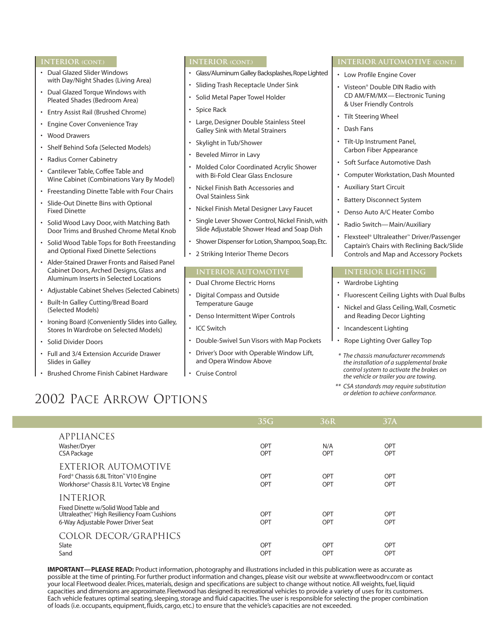### **INTERIOR (CONT.)**

- Dual Glazed Slider Windows with Day/Night Shades (Living Area)
- Dual Glazed Torque Windows with Pleated Shades (Bedroom Area)
- Entry Assist Rail (Brushed Chrome)
- Engine Cover Convenience Tray
- Wood Drawers
- Shelf Behind Sofa (Selected Models)
- Radius Corner Cabinetry
- Cantilever Table, Coffee Table and Wine Cabinet (Combinations Vary By Model)
- Freestanding Dinette Table with Four Chairs
- Slide-Out Dinette Bins with Optional Fixed Dinette
- Solid Wood Lavy Door, with Matching Bath Door Trims and Brushed Chrome Metal Knob
- Solid Wood Table Tops for Both Freestanding and Optional Fixed Dinette Selections
- Alder-Stained Drawer Fronts and Raised Panel Cabinet Doors, Arched Designs, Glass and Aluminum Inserts in Selected Locations
- Adjustable Cabinet Shelves (Selected Cabinets)
- Built-In Galley Cutting/Bread Board (Selected Models)
- Ironing Board (Conveniently Slides into Galley, Stores In Wardrobe on Selected Models)
- Solid Divider Doors
- Full and 3/4 Extension Accuride Drawer Slides in Galley
- Brushed Chrome Finish Cabinet Hardware

### **INTERIOR (CONT.)**

- Glass/Aluminum Galley Backsplashes, Rope Lighted
- Sliding Trash Receptacle Under Sink
- Solid Metal Paper Towel Holder
- Spice Rack
- Large, Designer Double Stainless Steel Galley Sink with Metal Strainers
- Skylight in Tub/Shower
- Beveled Mirror in Lavy
- Molded Color Coordinated Acrylic Shower with Bi-Fold Clear Glass Enclosure
- Nickel Finish Bath Accessories and Oval Stainless Sink
- Nickel Finish Metal Designer Lavy Faucet
- Single Lever Shower Control, Nickel Finish, with Slide Adjustable Shower Head and Soap Dish
- Shower Dispenser for Lotion, Shampoo, Soap, Etc.
- 2 Striking Interior Theme Decors

### **INTERIOR AUTOMOTIVE**

- Dual Chrome Electric Horns
- Digital Compass and Outside Temperature Gauge
- Denso Intermittent Wiper Controls
- ICC Switch
- Double-Swivel Sun Visors with Map Pockets
- Driver's Door with Operable Window Lift, and Opera Window Above
- Cruise Control

### **INTERIOR AUTOMOTIVE (CONT.)**

- Low Profile Engine Cover
- Visteon® Double DIN Radio with CD AM/FM/MX—Electronic Tuning & User Friendly Controls
- Tilt Steering Wheel
- Dash Fans
- Tilt-Up Instrument Panel, Carbon Fiber Appearance
- Soft Surface Automotive Dash
- Computer Workstation, Dash Mounted
- Auxiliary Start Circuit
- **Battery Disconnect System**
- Denso Auto A/C Heater Combo
- Radio Switch—Main/Auxiliary
- Flexsteel® Ultraleather™ Driver/Passenger Captain's Chairs with Reclining Back/Slide Controls and Map and Accessory Pockets

### **INTERIOR LIGHTING**

- Wardrobe Lighting
- Fluorescent Ceiling Lights with Dual Bulbs
- Nickel and Glass Ceiling, Wall, Cosmetic and Reading Decor Lighting
- Incandescent Lighting
- Rope Lighting Over Galley Top
- *\* The chassis manufacturer recommends the installation of a supplemental brake control system to activate the brakes on the vehicle or trailer you are towing.*
- *\*\* CSA standards may require substitution or deletion to achieve conformance.*

### 2002 PACE ARROW OPTIONS

|                                                                                                                                              | 35G               | 36R               | 37A                      |  |
|----------------------------------------------------------------------------------------------------------------------------------------------|-------------------|-------------------|--------------------------|--|
| APPLIANCES<br>Washer/Dryer<br><b>CSA Package</b>                                                                                             | OPT<br><b>OPT</b> | N/A<br><b>OPT</b> | <b>OPT</b><br><b>OPT</b> |  |
| EXTERIOR AUTOMOTIVE<br>Ford <sup>®</sup> Chassis 6.8L Triton <sup>™</sup> V10 Engine<br>Workhorse® Chassis 8.1L Vortec V8 Engine             | OPT<br><b>OPT</b> | OPT<br>OPT        | <b>OPT</b><br><b>OPT</b> |  |
| <b>INTERIOR</b><br>Fixed Dinette w/Solid Wood Table and<br>Ultraleather™ High Resiliency Foam Cushions<br>6-Way Adjustable Power Driver Seat | OPT<br>OPT        | OPT<br>OPT        | <b>OPT</b><br><b>OPT</b> |  |
| COLOR DECOR/GRAPHICS<br>Slate<br>Sand                                                                                                        | OPT<br><b>OPT</b> | OPT<br><b>OPT</b> | <b>OPT</b><br><b>OPT</b> |  |

**IMPORTANT—PLEASE READ:** Product information, photography and illustrations included in this publication were as accurate as possible at the time of printing. For further product information and changes, please visit our website at www.fleetwoodrv.com or contact your local Fleetwood dealer. Prices, materials, design and specifications are subject to change without notice. All weights, fuel, liquid capacities and dimensions are approximate.Fleetwood has designed its recreational vehicles to provide a variety of uses for its customers. Each vehicle features optimal seating, sleeping, storage and fluid capacities.The user is responsible for selecting the proper combination of loads (i.e. occupants, equipment, fluids, cargo, etc.) to ensure that the vehicle's capacities are not exceeded.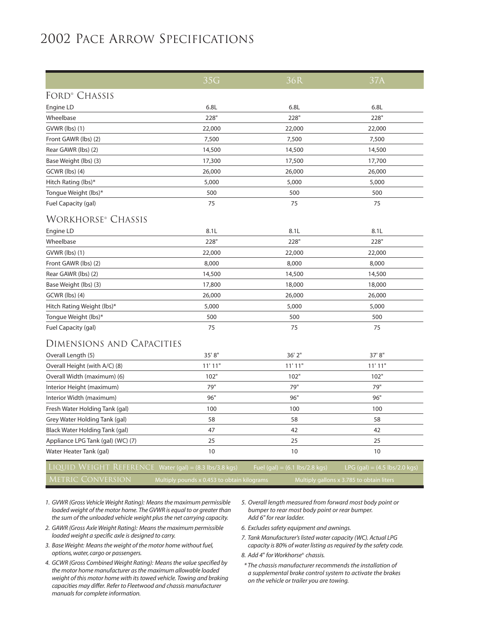### 2002 PACE ARROW SPECIFICATIONS

|                                                           | 35G    | 36R                                             | 37A                                             |  |  |  |
|-----------------------------------------------------------|--------|-------------------------------------------------|-------------------------------------------------|--|--|--|
| FORD <sup>®</sup> CHASSIS                                 |        |                                                 |                                                 |  |  |  |
| Engine LD                                                 | 6.8L   | 6.8L                                            | 6.8L                                            |  |  |  |
| Wheelbase                                                 | 228"   | 228"                                            | 228"                                            |  |  |  |
| GVWR (lbs) (1)                                            | 22,000 | 22,000                                          | 22,000                                          |  |  |  |
| Front GAWR (lbs) (2)                                      | 7,500  | 7,500                                           | 7,500                                           |  |  |  |
| Rear GAWR (lbs) (2)                                       | 14,500 | 14,500                                          | 14,500                                          |  |  |  |
| Base Weight (lbs) (3)                                     | 17,300 | 17,500                                          | 17,700                                          |  |  |  |
| GCWR (lbs) (4)                                            | 26,000 | 26,000                                          | 26,000                                          |  |  |  |
| Hitch Rating (lbs)*                                       | 5,000  | 5,000                                           | 5,000                                           |  |  |  |
| Tongue Weight (lbs)*                                      | 500    | 500                                             | 500                                             |  |  |  |
| Fuel Capacity (gal)                                       | 75     | 75                                              | 75                                              |  |  |  |
| <b>WORKHORSE® CHASSIS</b>                                 |        |                                                 |                                                 |  |  |  |
| Engine LD                                                 | 8.1L   | 8.1L                                            | 8.1L                                            |  |  |  |
| Wheelbase                                                 | 228"   | 228"                                            | 228"                                            |  |  |  |
| GVWR (lbs) (1)                                            | 22,000 | 22,000                                          | 22,000                                          |  |  |  |
| Front GAWR (lbs) (2)                                      | 8,000  | 8,000                                           | 8,000                                           |  |  |  |
| Rear GAWR (lbs) (2)                                       | 14,500 | 14,500                                          | 14,500                                          |  |  |  |
| Base Weight (lbs) (3)                                     | 17,800 | 18,000                                          | 18,000                                          |  |  |  |
| GCWR (lbs) (4)                                            | 26,000 | 26,000                                          | 26,000                                          |  |  |  |
| Hitch Rating Weight (lbs)*                                | 5,000  | 5,000                                           | 5,000                                           |  |  |  |
| Tongue Weight (lbs)*                                      | 500    | 500                                             | 500                                             |  |  |  |
| Fuel Capacity (gal)                                       | 75     | 75                                              | 75                                              |  |  |  |
| DIMENSIONS AND CAPACITIES                                 |        |                                                 |                                                 |  |  |  |
| Overall Length (5)                                        | 35'8"  | 36' 2"                                          | 37' 8"                                          |  |  |  |
| Overall Height (with A/C) (8)                             | 11'11" | 11'11"                                          | 11'11"                                          |  |  |  |
| Overall Width (maximum) (6)                               | 102"   | 102"                                            | 102"                                            |  |  |  |
| Interior Height (maximum)                                 | 79"    | 79"                                             | 79"                                             |  |  |  |
| Interior Width (maximum)                                  | 96"    | 96"                                             | 96"                                             |  |  |  |
| Fresh Water Holding Tank (gal)                            | 100    | 100                                             | 100                                             |  |  |  |
| Grey Water Holding Tank (gal)                             | 58     | 58                                              | 58                                              |  |  |  |
| Black Water Holding Tank (gal)                            | 47     | 42                                              | 42                                              |  |  |  |
| Appliance LPG Tank (gal) (WC) (7)                         | 25     | 25                                              | 25                                              |  |  |  |
| Water Heater Tank (gal)                                   | 10     | 10                                              | 10                                              |  |  |  |
| $L1QUID WEIGHT REFERENCE Water (gal) = (8.3 lbs/3.8 kgs)$ |        | Fuel $(gal) = (6.1 \text{ lbs}/2.8 \text{ kg})$ | LPG $(gal) = (4.5 \text{ lbs}/2.0 \text{ kgs})$ |  |  |  |

- *1. GVWR (Gross Vehicle Weight Rating): Means the maximum permissible loaded weight of the motor home. The GVWR is equal to or greater than the sum of the unloaded vehicle weight plus the net carrying capacity.*
- *2. GAWR (Gross Axle Weight Rating): Means the maximum permissible loaded weight a specific axle is designed to carry.*
- *3. Base Weight: Means the weight of the motor home without fuel, options, water, cargo or passengers.*
- *4. GCWR (Gross Combined Weight Rating): Means the value specified by the motor home manufacturer as the maximum allowable loaded weight of this motor home with its towed vehicle. Towing and braking capacities may differ. Refer to Fleetwood and chassis manufacturer manuals for complete information.*
- *5. Overall length measured from forward most body point or bumper to rear most body point or rear bumper. Add 6" for rear ladder.*
- *6. Excludes safety equipment and awnings.*
- *7. Tank Manufacturer's listed water capacity (WC). Actual LPG capacity is 80% of water listing as required by the safety code.*
- *8. Add 4*" *for Workhorse*® *chassis.*
- *\* The chassis manufacturer recommends the installation of a supplemental brake control system to activate the brakes on the vehicle or trailer you are towing.*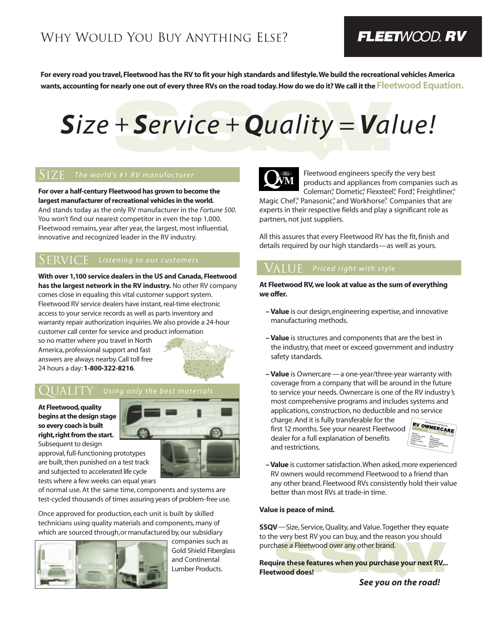### FLEETWOOD, RV

**For every road you travel, Fleetwood has the RV to fit your high standards and lifestyle.We build the recreational vehicles America wants, accounting for nearly one out of every three RVs on the road today. How do we do it? We call it the Fleetwood Equation.**

# + Service + Quality = Val *Size + Service + Quality =Value!*

### SIZE *The world's #1 RV manufacturer*

**For over a half-century Fleetwood has grown to become the largest manufacturer of recreational vehicles in the world.** And stands today as the only RV manufacturer in the *Fortune 500*. You won't find our nearest competitor in even the top 1,000. Fleetwood remains, year after year, the largest, most influential, innovative and recognized leader in the RV industry.

**With over 1,100 service dealers in the US and Canada, Fleetwood has the largest network in the RV industry.** No other RV company comes close in equaling this vital customer support system. Fleetwood RV service dealers have instant, real-time electronic access to your service records as well as parts inventory and warranty repair authorization inquiries.We also provide a 24-hour customer call center for service and product information so no matter where you travel in North

America, professional support and fast answers are always nearby. Call toll free 24 hours a day:**1-800-322-8216**.



### QUALITY *Using only the best materials*

**At Fleetwood,quality begins at the design stage so every coach is built right, right from the start.** Subsequent to design



approval, full-functioning prototypes are built, then punished on a test track and subjected to accelerated life cycle tests where a few weeks can equal years

of normal use. At the same time, components and systems are test-cycled thousands of times assuring years of problem-free use.

Once approved for production,each unit is built by skilled technicians using quality materials and components, many of which are sourced through,or manufactured by, our subsidiary



companies such as Gold Shield Fiberglass and Continental Lumber Products.



Fleetwood engineers specify the very best products and appliances from companies such as Coleman®, Dometic®, Flexsteel®, Ford®, Freightliner®,

Magic Chef,<sup>®</sup> Panasonic<sup>®</sup>, and Workhorse.® Companies that are experts in their respective fields and play a significant role as partners, not just suppliers.

All this assures that every Fleetwood RV has the fit, finish and details required by our high standards—as well as yours.

### VALUE *Priced right with style*

**At Fleetwood RV, we look at value as the sum of everything we offer.**

- **Value** is our design,engineering expertise, and innovative manufacturing methods.
- **Value** is structures and components that are the best in the industry, that meet or exceed government and industry safety standards.
- **Value** is Ownercare —a one-year/three-year warranty with coverage from a company that will be around in the future to service your needs. Ownercare is one of the RV industry 's most comprehensive programs and includes systems and applications, construction, no deductible and no service

charge. And it is fully transferable for the first 12 months. See your nearest Fleetwood dealer for a full explanation of benefits and restrictions.



**– Value** is customer satisfaction.When asked, more experienced RV owners would recommend Fleetwood to a friend than any other brand. Fleetwood RVs consistently hold their value better than most RVs at trade-in time.

### **Value is peace of mind.**

**SSQV**—Size, Service, Quality, and Value.Together they equate to the very best RV you can buy, and the reason you should purchase a Fleetwood over any other brand.

hase a Fleetwood over any other brand.<br>Lire these features when you purchase your next RV...<br>twood does! **Require these features when you purchase your next RV... Fleetwood does!**

*See you on the road!*